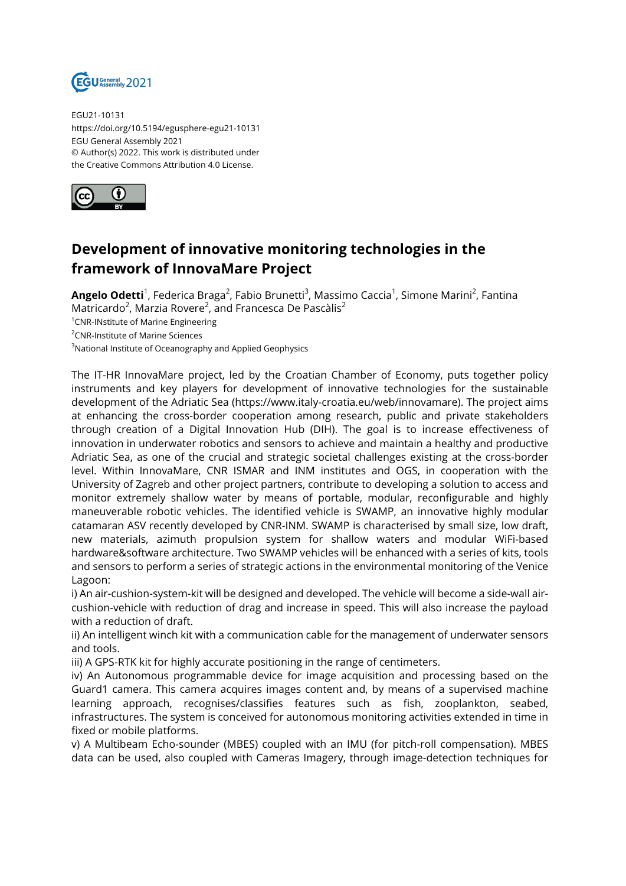

EGU21-10131 https://doi.org/10.5194/egusphere-egu21-10131 EGU General Assembly 2021 © Author(s) 2022. This work is distributed under the Creative Commons Attribution 4.0 License.



## **Development of innovative monitoring technologies in the framework of InnovaMare Project**

**Angelo Odetti**<sup>1</sup>, Federica Braga<sup>2</sup>, Fabio Brunetti<sup>3</sup>, Massimo Caccia<sup>1</sup>, Simone Marini<sup>2</sup>, Fantina Matricardo<sup>2</sup>, Marzia Rovere<sup>2</sup>, and Francesca De Pascàlis<sup>2</sup>

<sup>1</sup>CNR-INstitute of Marine Engineering

<sup>2</sup>CNR-Institute of Marine Sciences

<sup>3</sup>National Institute of Oceanography and Applied Geophysics

The IT-HR InnovaMare project, led by the Croatian Chamber of Economy, puts together policy instruments and key players for development of innovative technologies for the sustainable development of the Adriatic Sea (https://www.italy-croatia.eu/web/innovamare). The project aims at enhancing the cross-border cooperation among research, public and private stakeholders through creation of a Digital Innovation Hub (DIH). The goal is to increase effectiveness of innovation in underwater robotics and sensors to achieve and maintain a healthy and productive Adriatic Sea, as one of the crucial and strategic societal challenges existing at the cross-border level. Within InnovaMare, CNR ISMAR and INM institutes and OGS, in cooperation with the University of Zagreb and other project partners, contribute to developing a solution to access and monitor extremely shallow water by means of portable, modular, reconfigurable and highly maneuverable robotic vehicles. The identified vehicle is SWAMP, an innovative highly modular catamaran ASV recently developed by CNR-INM. SWAMP is characterised by small size, low draft, new materials, azimuth propulsion system for shallow waters and modular WiFi-based hardware&software architecture. Two SWAMP vehicles will be enhanced with a series of kits, tools and sensors to perform a series of strategic actions in the environmental monitoring of the Venice Lagoon:

i) An air-cushion-system-kit will be designed and developed. The vehicle will become a side-wall aircushion-vehicle with reduction of drag and increase in speed. This will also increase the payload with a reduction of draft.

ii) An intelligent winch kit with a communication cable for the management of underwater sensors and tools.

iii) A GPS-RTK kit for highly accurate positioning in the range of centimeters.

iv) An Autonomous programmable device for image acquisition and processing based on the Guard1 camera. This camera acquires images content and, by means of a supervised machine learning approach, recognises/classifies features such as fish, zooplankton, seabed, infrastructures. The system is conceived for autonomous monitoring activities extended in time in fixed or mobile platforms.

v) A Multibeam Echo-sounder (MBES) coupled with an IMU (for pitch-roll compensation). MBES data can be used, also coupled with Cameras Imagery, through image-detection techniques for